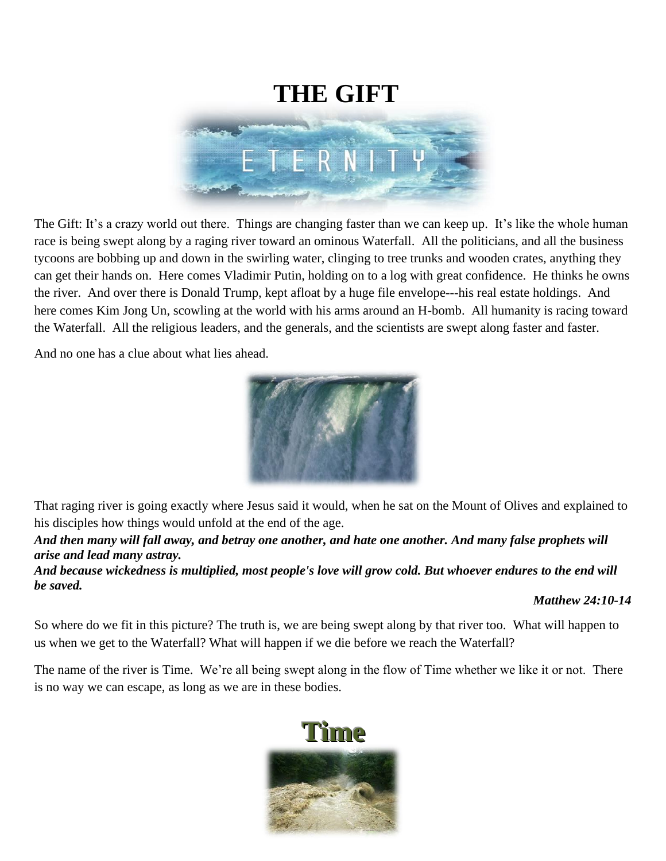

The Gift: It's a crazy world out there. Things are changing faster than we can keep up. It's like the whole human race is being swept along by a raging river toward an ominous Waterfall. All the politicians, and all the business tycoons are bobbing up and down in the swirling water, clinging to tree trunks and wooden crates, anything they can get their hands on. Here comes Vladimir Putin, holding on to a log with great confidence. He thinks he owns the river. And over there is Donald Trump, kept afloat by a huge file envelope---his real estate holdings. And here comes Kim Jong Un, scowling at the world with his arms around an H-bomb. All humanity is racing toward the Waterfall. All the religious leaders, and the generals, and the scientists are swept along faster and faster.

And no one has a clue about what lies ahead.



That raging river is going exactly where Jesus said it would, when he sat on the Mount of Olives and explained to his disciples how things would unfold at the end of the age.

*And then many will fall away, and betray one another, and hate one another. And many false prophets will arise and lead many astray.* 

*And because wickedness is multiplied, most people's love will grow cold. But whoever endures to the end will be saved.*

#### *Matthew 24:10-14*

So where do we fit in this picture? The truth is, we are being swept along by that river too. What will happen to us when we get to the Waterfall? What will happen if we die before we reach the Waterfall?

The name of the river is Time. We're all being swept along in the flow of Time whether we like it or not. There is no way we can escape, as long as we are in these bodies.

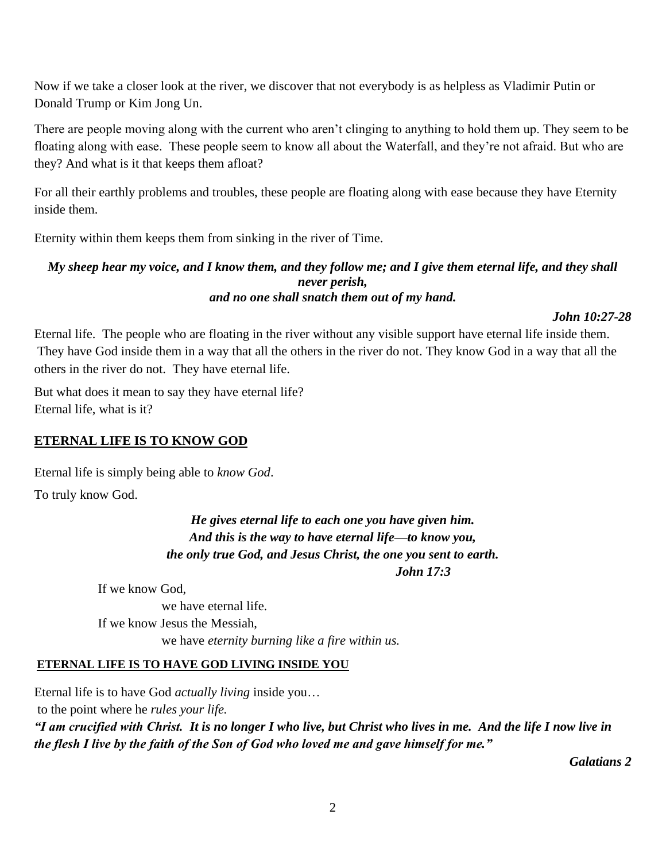Now if we take a closer look at the river, we discover that not everybody is as helpless as Vladimir Putin or Donald Trump or Kim Jong Un.

There are people moving along with the current who aren't clinging to anything to hold them up. They seem to be floating along with ease. These people seem to know all about the Waterfall, and they're not afraid. But who are they? And what is it that keeps them afloat?

For all their earthly problems and troubles, these people are floating along with ease because they have Eternity inside them.

Eternity within them keeps them from sinking in the river of Time.

#### *My sheep hear my voice, and I know them, and they follow me; and I give them eternal life, and they shall never perish, and no one shall snatch them out of my hand.*

*John 10:27-28*

Eternal life. The people who are floating in the river without any visible support have eternal life inside them. They have God inside them in a way that all the others in the river do not. They know God in a way that all the others in the river do not. They have eternal life.

But what does it mean to say they have eternal life? Eternal life, what is it?

## **ETERNAL LIFE IS TO KNOW GOD**

Eternal life is simply being able to *know God*.

To truly know God.

*He gives eternal life to each one you have given him. And this is the way to have eternal life—to know you, the only true God, and Jesus Christ, the one you sent to earth. John 17:3*

If we know God, we have eternal life. If we know Jesus the Messiah, we have *eternity burning like a fire within us.*

## **ETERNAL LIFE IS TO HAVE GOD LIVING INSIDE YOU**

Eternal life is to have God *actually living* inside you… to the point where he *rules your life. "I am crucified with Christ. It is no longer I who live, but Christ who lives in me. And the life I now live in the flesh I live by the faith of the Son of God who loved me and gave himself for me."*

*Galatians 2*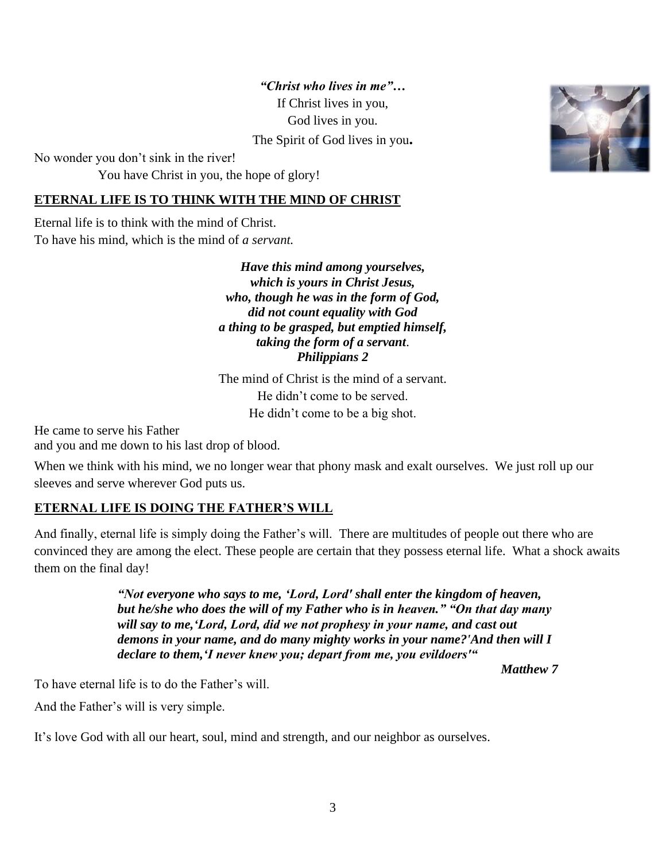*"Christ who lives in me"…* If Christ lives in you, God lives in you. The Spirit of God lives in you**.**

No wonder you don't sink in the river!

You have Christ in you, the hope of glory!

### **ETERNAL LIFE IS TO THINK WITH THE MIND OF CHRIST**

Eternal life is to think with the mind of Christ. To have his mind, which is the mind of *a servant.*

> *Have this mind among yourselves, which is yours in Christ Jesus, who, though he was in the form of God, did not count equality with God a thing to be grasped, but emptied himself, taking the form of a servant*. *Philippians 2*

> The mind of Christ is the mind of a servant. He didn't come to be served. He didn't come to be a big shot.

He came to serve his Father and you and me down to his last drop of blood.

When we think with his mind, we no longer wear that phony mask and exalt ourselves. We just roll up our sleeves and serve wherever God puts us.

## **ETERNAL LIFE IS DOING THE FATHER'S WILL**

And finally, eternal life is simply doing the Father's will. There are multitudes of people out there who are convinced they are among the elect. These people are certain that they possess eternal life. What a shock awaits them on the final day!

> *"Not everyone who says to me, 'Lord, Lord' shall enter the kingdom of heaven, but he/she who does the will of my Father who is in heaven." "On that day many will say to me,'Lord, Lord, did we not prophesy in your name, and cast out demons in your name, and do many mighty works in your name?'And then will I declare to them,'I never knew you; depart from me, you evildoers'"*

> > *Matthew 7*

To have eternal life is to do the Father's will.

And the Father's will is very simple.

It's love God with all our heart, soul, mind and strength, and our neighbor as ourselves.

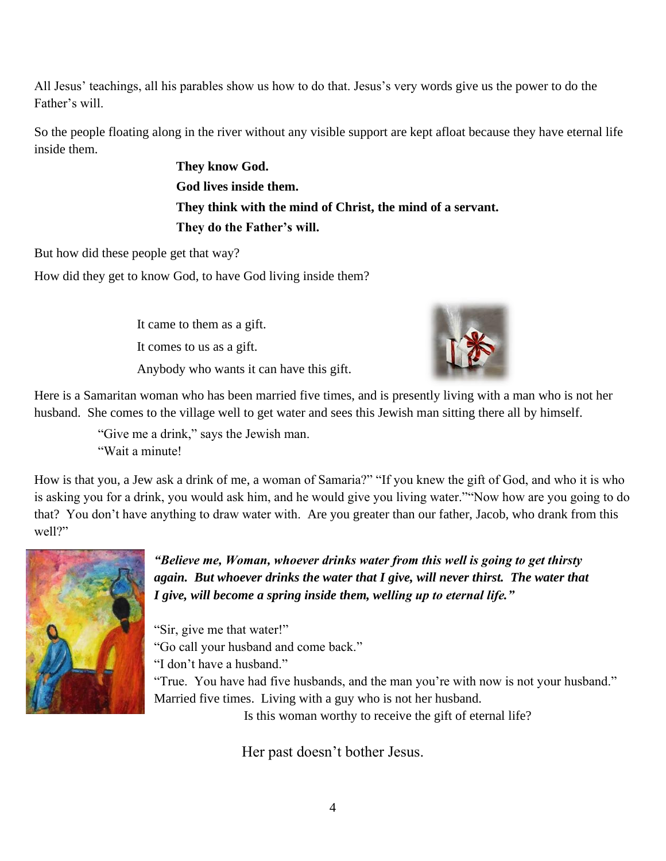All Jesus' teachings, all his parables show us how to do that. Jesus's very words give us the power to do the Father's will.

So the people floating along in the river without any visible support are kept afloat because they have eternal life inside them.

> **They know God. God lives inside them. They think with the mind of Christ, the mind of a servant. They do the Father's will.**

But how did these people get that way?

How did they get to know God, to have God living inside them?

It came to them as a gift. It comes to us as a gift. Anybody who wants it can have this gift.



Here is a Samaritan woman who has been married five times, and is presently living with a man who is not her husband. She comes to the village well to get water and sees this Jewish man sitting there all by himself.

> "Give me a drink," says the Jewish man. "Wait a minute!

How is that you, a Jew ask a drink of me, a woman of Samaria?" "If you knew the gift of God, and who it is who is asking you for a drink, you would ask him, and he would give you living water.""Now how are you going to do that? You don't have anything to draw water with. Are you greater than our father, Jacob, who drank from this well?"



*"Believe me, Woman, whoever drinks water from this well is going to get thirsty again. But whoever drinks the water that I give, will never thirst. The water that I give, will become a spring inside them, welling up to eternal life."*

"Sir, give me that water!" "Go call your husband and come back." "I don't have a husband." "True. You have had five husbands, and the man you're with now is not your husband." Married five times. Living with a guy who is not her husband.

Is this woman worthy to receive the gift of eternal life?

Her past doesn't bother Jesus.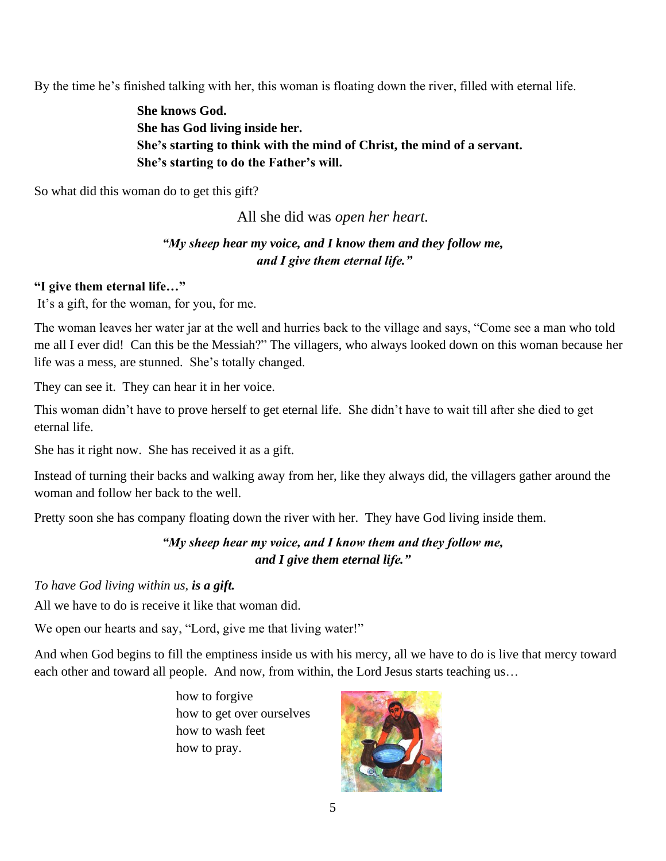By the time he's finished talking with her, this woman is floating down the river, filled with eternal life.

**She knows God. She has God living inside her. She's starting to think with the mind of Christ, the mind of a servant. She's starting to do the Father's will.**

So what did this woman do to get this gift?

All she did was *open her heart.*

# *"My sheep hear my voice, and I know them and they follow me, and I give them eternal life."*

### **"I give them eternal life…"**

It's a gift, for the woman, for you, for me.

The woman leaves her water jar at the well and hurries back to the village and says, "Come see a man who told me all I ever did! Can this be the Messiah?" The villagers, who always looked down on this woman because her life was a mess, are stunned. She's totally changed.

They can see it. They can hear it in her voice.

This woman didn't have to prove herself to get eternal life. She didn't have to wait till after she died to get eternal life.

She has it right now. She has received it as a gift.

Instead of turning their backs and walking away from her, like they always did, the villagers gather around the woman and follow her back to the well.

Pretty soon she has company floating down the river with her. They have God living inside them.

# *"My sheep hear my voice, and I know them and they follow me, and I give them eternal life."*

#### *To have God living within us, is a gift.*

All we have to do is receive it like that woman did.

We open our hearts and say, "Lord, give me that living water!"

And when God begins to fill the emptiness inside us with his mercy, all we have to do is live that mercy toward each other and toward all people. And now, from within, the Lord Jesus starts teaching us…

> how to forgive how to get over ourselves how to wash feet how to pray.